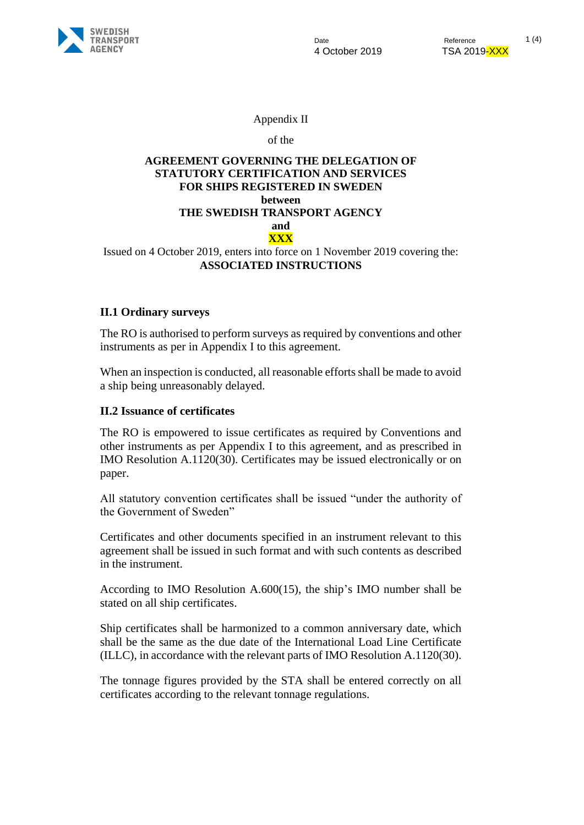

Appendix II

of the

#### **AGREEMENT GOVERNING THE DELEGATION OF STATUTORY CERTIFICATION AND SERVICES FOR SHIPS REGISTERED IN SWEDEN between THE SWEDISH TRANSPORT AGENCY and XXX**

Issued on 4 October 2019, enters into force on 1 November 2019 covering the: **ASSOCIATED INSTRUCTIONS**

### **II.1 Ordinary surveys**

The RO is authorised to perform surveys as required by conventions and other instruments as per in Appendix I to this agreement.

When an inspection is conducted, all reasonable efforts shall be made to avoid a ship being unreasonably delayed.

### **II.2 Issuance of certificates**

The RO is empowered to issue certificates as required by Conventions and other instruments as per Appendix I to this agreement, and as prescribed in IMO Resolution A.1120(30). Certificates may be issued electronically or on paper.

All statutory convention certificates shall be issued "under the authority of the Government of Sweden"

Certificates and other documents specified in an instrument relevant to this agreement shall be issued in such format and with such contents as described in the instrument.

According to IMO Resolution A.600(15), the ship's IMO number shall be stated on all ship certificates.

Ship certificates shall be harmonized to a common anniversary date, which shall be the same as the due date of the International Load Line Certificate (ILLC), in accordance with the relevant parts of IMO Resolution A.1120(30).

The tonnage figures provided by the STA shall be entered correctly on all certificates according to the relevant tonnage regulations.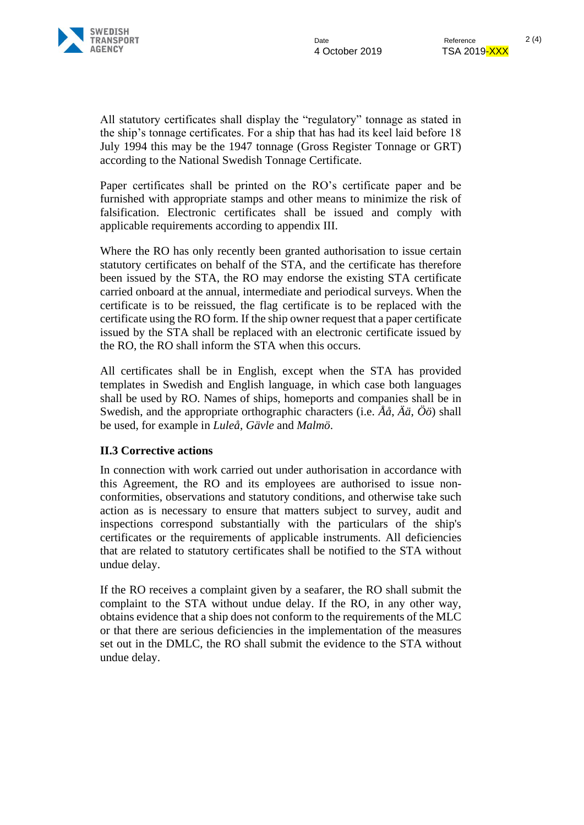

All statutory certificates shall display the "regulatory" tonnage as stated in the ship's tonnage certificates. For a ship that has had its keel laid before 18 July 1994 this may be the 1947 tonnage (Gross Register Tonnage or GRT) according to the National Swedish Tonnage Certificate.

Paper certificates shall be printed on the RO's certificate paper and be furnished with appropriate stamps and other means to minimize the risk of falsification. Electronic certificates shall be issued and comply with applicable requirements according to appendix III.

Where the RO has only recently been granted authorisation to issue certain statutory certificates on behalf of the STA, and the certificate has therefore been issued by the STA, the RO may endorse the existing STA certificate carried onboard at the annual, intermediate and periodical surveys. When the certificate is to be reissued, the flag certificate is to be replaced with the certificate using the RO form. If the ship owner request that a paper certificate issued by the STA shall be replaced with an electronic certificate issued by the RO, the RO shall inform the STA when this occurs.

All certificates shall be in English, except when the STA has provided templates in Swedish and English language, in which case both languages shall be used by RO. Names of ships, homeports and companies shall be in Swedish, and the appropriate orthographic characters (i.e. *Åå*, *Ää*, *Öö*) shall be used, for example in *Luleå*, *Gävle* and *Malmö*.

### **II.3 Corrective actions**

In connection with work carried out under authorisation in accordance with this Agreement, the RO and its employees are authorised to issue nonconformities, observations and statutory conditions, and otherwise take such action as is necessary to ensure that matters subject to survey, audit and inspections correspond substantially with the particulars of the ship's certificates or the requirements of applicable instruments. All deficiencies that are related to statutory certificates shall be notified to the STA without undue delay.

If the RO receives a complaint given by a seafarer, the RO shall submit the complaint to the STA without undue delay. If the RO, in any other way, obtains evidence that a ship does not conform to the requirements of the MLC or that there are serious deficiencies in the implementation of the measures set out in the DMLC, the RO shall submit the evidence to the STA without undue delay.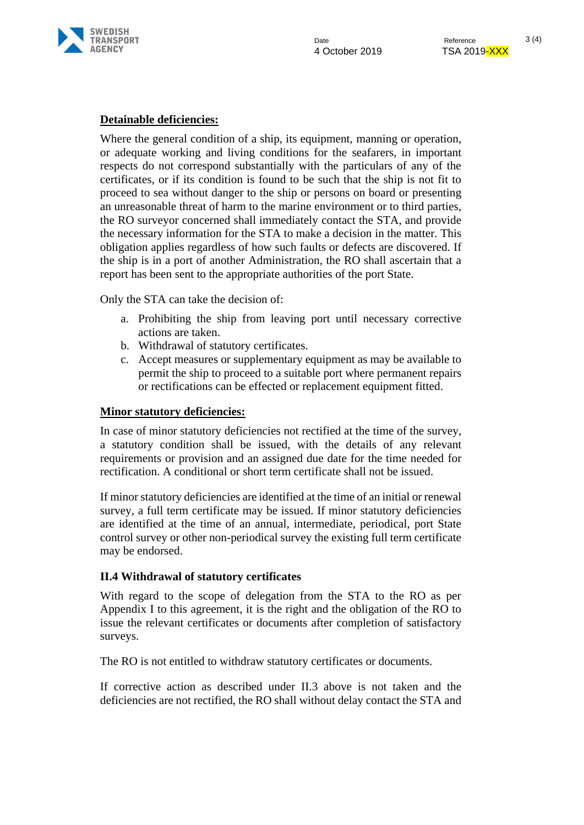

# **Detainable deficiencies:**

Where the general condition of a ship, its equipment, manning or operation, or adequate working and living conditions for the seafarers, in important respects do not correspond substantially with the particulars of any of the certificates, or if its condition is found to be such that the ship is not fit to proceed to sea without danger to the ship or persons on board or presenting an unreasonable threat of harm to the marine environment or to third parties, the RO surveyor concerned shall immediately contact the STA, and provide the necessary information for the STA to make a decision in the matter. This obligation applies regardless of how such faults or defects are discovered. If the ship is in a port of another Administration, the RO shall ascertain that a report has been sent to the appropriate authorities of the port State.

Only the STA can take the decision of:

- a. Prohibiting the ship from leaving port until necessary corrective actions are taken.
- b. Withdrawal of statutory certificates.
- c. Accept measures or supplementary equipment as may be available to permit the ship to proceed to a suitable port where permanent repairs or rectifications can be effected or replacement equipment fitted.

## **Minor statutory deficiencies:**

In case of minor statutory deficiencies not rectified at the time of the survey, a statutory condition shall be issued, with the details of any relevant requirements or provision and an assigned due date for the time needed for rectification. A conditional or short term certificate shall not be issued.

If minor statutory deficiencies are identified at the time of an initial or renewal survey, a full term certificate may be issued. If minor statutory deficiencies are identified at the time of an annual, intermediate, periodical, port State control survey or other non-periodical survey the existing full term certificate may be endorsed.

### **II.4 Withdrawal of statutory certificates**

With regard to the scope of delegation from the STA to the RO as per Appendix I to this agreement, it is the right and the obligation of the RO to issue the relevant certificates or documents after completion of satisfactory surveys.

The RO is not entitled to withdraw statutory certificates or documents.

If corrective action as described under II.3 above is not taken and the deficiencies are not rectified, the RO shall without delay contact the STA and